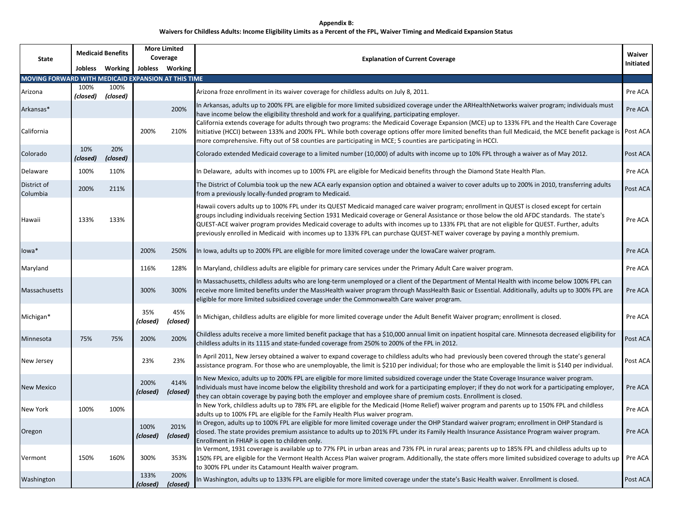## **Waivers for Childless Adults: Income Eligibility Limits as a Percent of the FPL, Waiver Timing and Medicaid Expansion Status Appendix B:**

| State                                               | <b>Medicaid Benefits</b> |                  | <b>More Limited</b><br>Coverage |                  | <b>Explanation of Current Coverage</b>                                                                                                                                                                                                                                                                                                                                                                                                                                                                                                                                        | Waiver    |
|-----------------------------------------------------|--------------------------|------------------|---------------------------------|------------------|-------------------------------------------------------------------------------------------------------------------------------------------------------------------------------------------------------------------------------------------------------------------------------------------------------------------------------------------------------------------------------------------------------------------------------------------------------------------------------------------------------------------------------------------------------------------------------|-----------|
|                                                     |                          | Jobless Working  |                                 | Jobless Working  |                                                                                                                                                                                                                                                                                                                                                                                                                                                                                                                                                                               | Initiated |
| MOVING FORWARD WITH MEDICAID EXPANSION AT THIS TIME |                          |                  |                                 |                  |                                                                                                                                                                                                                                                                                                                                                                                                                                                                                                                                                                               |           |
| Arizona                                             | 100%<br>(closed)         | 100%<br>(closed) |                                 |                  | Arizona froze enrollment in its waiver coverage for childless adults on July 8, 2011.                                                                                                                                                                                                                                                                                                                                                                                                                                                                                         | Pre ACA   |
| Arkansas*                                           |                          |                  |                                 | 200%             | In Arkansas, adults up to 200% FPL are eligible for more limited subsidized coverage under the ARHealthNetworks waiver program; individuals must<br>have income below the eligibility threshold and work for a qualifying, participating employer.                                                                                                                                                                                                                                                                                                                            | Pre ACA   |
| California                                          |                          |                  | 200%                            | 210%             | California extends coverage for adults through two programs: the Medicaid Coverage Expansion (MCE) up to 133% FPL and the Health Care Coverage<br>Initiative (HCCI) between 133% and 200% FPL. While both coverage options offer more limited benefits than full Medicaid, the MCE benefit package is<br>more comprehensive. Fifty out of 58 counties are participating in MCE; 5 counties are participating in HCCI.                                                                                                                                                         | Post ACA  |
| Colorado                                            | 10%<br>(closed)          | 20%<br>(closed)  |                                 |                  | Colorado extended Medicaid coverage to a limited number (10,000) of adults with income up to 10% FPL through a waiver as of May 2012.                                                                                                                                                                                                                                                                                                                                                                                                                                         | Post ACA  |
| Delaware                                            | 100%                     | 110%             |                                 |                  | In Delaware, adults with incomes up to 100% FPL are eligible for Medicaid benefits through the Diamond State Health Plan.                                                                                                                                                                                                                                                                                                                                                                                                                                                     | Pre ACA   |
| District of<br>Columbia                             | 200%                     | 211%             |                                 |                  | The District of Columbia took up the new ACA early expansion option and obtained a waiver to cover adults up to 200% in 2010, transferring adults<br>from a previously locally-funded program to Medicaid.                                                                                                                                                                                                                                                                                                                                                                    | Post ACA  |
| Hawaii                                              | 133%                     | 133%             |                                 |                  | Hawaii covers adults up to 100% FPL under its QUEST Medicaid managed care waiver program; enrollment in QUEST is closed except for certain<br>groups including individuals receiving Section 1931 Medicaid coverage or General Assistance or those below the old AFDC standards. The state's<br>QUEST-ACE waiver program provides Medicaid coverage to adults with incomes up to 133% FPL that are not eligible for QUEST. Further, adults<br>previously enrolled in Medicaid with incomes up to 133% FPL can purchase QUEST-NET waiver coverage by paying a monthly premium. | Pre ACA   |
| lowa*                                               |                          |                  | 200%                            | 250%             | In Iowa, adults up to 200% FPL are eligible for more limited coverage under the IowaCare waiver program.                                                                                                                                                                                                                                                                                                                                                                                                                                                                      | Pre ACA   |
| Maryland                                            |                          |                  | 116%                            | 128%             | In Maryland, childless adults are eligible for primary care services under the Primary Adult Care waiver program.                                                                                                                                                                                                                                                                                                                                                                                                                                                             | Pre ACA   |
| Massachusetts                                       |                          |                  | 300%                            | 300%             | In Massachusetts, childless adults who are long-term unemployed or a client of the Department of Mental Health with income below 100% FPL can<br>receive more limited benefits under the MassHealth waiver program through MassHealth Basic or Essential. Additionally, adults up to 300% FPL are<br>eligible for more limited subsidized coverage under the Commonwealth Care waiver program.                                                                                                                                                                                | Pre ACA   |
| Michigan*                                           |                          |                  | 35%<br>(closed)                 | 45%<br>(closed)  | In Michigan, childless adults are eligible for more limited coverage under the Adult Benefit Waiver program; enrollment is closed.                                                                                                                                                                                                                                                                                                                                                                                                                                            | Pre ACA   |
| Minnesota                                           | 75%                      | 75%              | 200%                            | 200%             | Childless adults receive a more limited benefit package that has a \$10,000 annual limit on inpatient hospital care. Minnesota decreased eligibility for<br>childless adults in its 1115 and state-funded coverage from 250% to 200% of the FPL in 2012.                                                                                                                                                                                                                                                                                                                      | Post ACA  |
| New Jersey                                          |                          |                  | 23%                             | 23%              | In April 2011, New Jersey obtained a waiver to expand coverage to childless adults who had previously been covered through the state's general<br>assistance program. For those who are unemployable, the limit is \$210 per individual; for those who are employable the limit is \$140 per individual.                                                                                                                                                                                                                                                                      | Post ACA  |
| <b>New Mexico</b>                                   |                          |                  | 200%<br>(closed)                | 414%<br>(closed) | In New Mexico, adults up to 200% FPL are eligible for more limited subsidized coverage under the State Coverage Insurance waiver program.<br>Individuals must have income below the eligibility threshold and work for a participating employer; if they do not work for a participating employer,<br>they can obtain coverage by paying both the employer and employee share of premium costs. Enrollment is closed.                                                                                                                                                         | Pre ACA   |
| New York                                            | 100%                     | 100%             |                                 |                  | In New York, childless adults up to 78% FPL are eligible for the Medicaid (Home Relief) waiver program and parents up to 150% FPL and childless<br>adults up to 100% FPL are eligible for the Family Health Plus waiver program.                                                                                                                                                                                                                                                                                                                                              | Pre ACA   |
| Oregon                                              |                          |                  | 100%<br>(closed)                | 201%<br>(closed) | In Oregon, adults up to 100% FPL are eligible for more limited coverage under the OHP Standard waiver program; enrollment in OHP Standard is<br>closed. The state provides premium assistance to adults up to 201% FPL under its Family Health Insurance Assistance Program waiver program.<br>Enrollment in FHIAP is open to children only.                                                                                                                                                                                                                                  | Pre ACA   |
| Vermont                                             | 150%                     | 160%             | 300%                            | 353%             | In Vermont, 1931 coverage is available up to 77% FPL in urban areas and 73% FPL in rural areas; parents up to 185% FPL and childless adults up to<br>150% FPL are eligible for the Vermont Health Access Plan waiver program. Additionally, the state offers more limited subsidized coverage to adults up<br>to 300% FPL under its Catamount Health waiver program.                                                                                                                                                                                                          | Pre ACA   |
| Washington                                          |                          |                  | 133%<br>(closed)                | 200%<br>(closed) | In Washington, adults up to 133% FPL are eligible for more limited coverage under the state's Basic Health waiver. Enrollment is closed.                                                                                                                                                                                                                                                                                                                                                                                                                                      | Post ACA  |